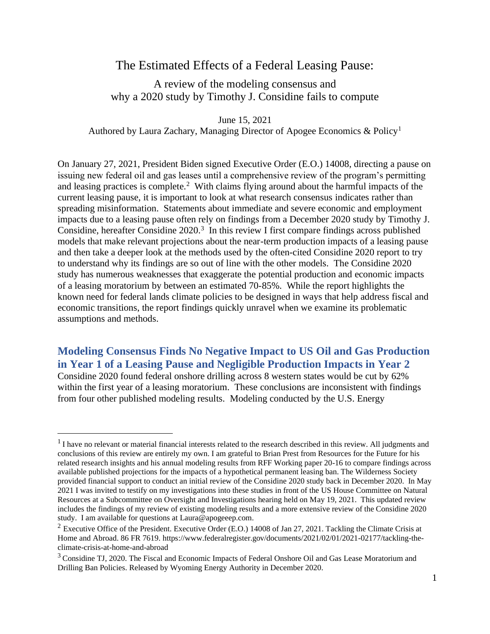# The Estimated Effects of a Federal Leasing Pause:

A review of the modeling consensus and why a 2020 study by Timothy J. Considine fails to compute

June 15, 2021 Authored by Laura Zachary, Managing Director of Apogee Economics & Policy<sup>1</sup>

On January 27, 2021, President Biden signed Executive Order (E.O.) 14008, directing a pause on issuing new federal oil and gas leases until a comprehensive review of the program's permitting and leasing practices is complete.<sup>2</sup> With claims flying around about the harmful impacts of the current leasing pause, it is important to look at what research consensus indicates rather than spreading misinformation. Statements about immediate and severe economic and employment impacts due to a leasing pause often rely on findings from a December 2020 study by Timothy J. Considine, hereafter Considine 2020. 3 In this review I first compare findings across published models that make relevant projections about the near-term production impacts of a leasing pause and then take a deeper look at the methods used by the often-cited Considine 2020 report to try to understand why its findings are so out of line with the other models. The Considine 2020 study has numerous weaknesses that exaggerate the potential production and economic impacts of a leasing moratorium by between an estimated 70-85%. While the report highlights the known need for federal lands climate policies to be designed in ways that help address fiscal and economic transitions, the report findings quickly unravel when we examine its problematic assumptions and methods.

**Modeling Consensus Finds No Negative Impact to US Oil and Gas Production in Year 1 of a Leasing Pause and Negligible Production Impacts in Year 2** Considine 2020 found federal onshore drilling across 8 western states would be cut by 62% within the first year of a leasing moratorium. These conclusions are inconsistent with findings from four other published modeling results. Modeling conducted by the U.S. Energy

 $<sup>1</sup>$  I have no relevant or material financial interests related to the research described in this review. All judgments and</sup> conclusions of this review are entirely my own. I am grateful to Brian Prest from Resources for the Future for his related research insights and his annual modeling results from RFF Working paper 20-16 to compare findings across available published projections for the impacts of a hypothetical permanent leasing ban. The Wilderness Society provided financial support to conduct an initial review of the Considine 2020 study back in December 2020. In May 2021 I was invited to testify on my investigations into these studies in front of the US House Committee on Natural Resources at a Subcommittee on Oversight and Investigations hearing held on May 19, 2021. This updated review includes the findings of my review of existing modeling results and a more extensive review of the Considine 2020 study. I am available for questions a[t Laura@apogeeep.com.](mailto:Laura@apogeeep.com)

<sup>&</sup>lt;sup>2</sup> Executive Office of the President. Executive Order (E.O.) 14008 of Jan 27, 2021. Tackling the Climate Crisis at Home and Abroad. 86 FR 7619. [https://www.federalregister.gov/documents/2021/02/01/2021-02177/tackling-the](https://www.federalregister.gov/documents/2021/02/01/2021-02177/tackling-the-climate-crisis-at-home-and-abroad)[climate-crisis-at-home-and-abroad](https://www.federalregister.gov/documents/2021/02/01/2021-02177/tackling-the-climate-crisis-at-home-and-abroad)

<sup>&</sup>lt;sup>3</sup> Considine TJ, 2020. The Fiscal and Economic Impacts of Federal Onshore Oil and Gas Lease Moratorium and Drilling Ban Policies. Released by Wyoming Energy Authority in December 2020.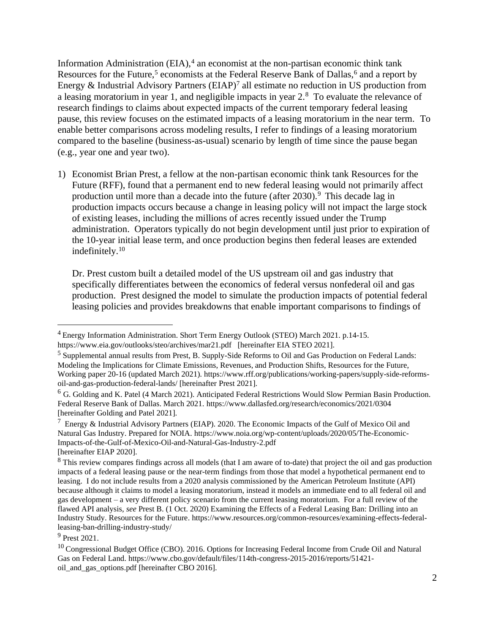Information Administration (EIA),<sup>4</sup> an economist at the non-partisan economic think tank Resources for the Future,<sup>5</sup> economists at the Federal Reserve Bank of Dallas,<sup>6</sup> and a report by Energy  $\&$  Industrial Advisory Partners (EIAP)<sup>7</sup> all estimate no reduction in US production from a leasing moratorium in year 1, and negligible impacts in year  $2.8$  To evaluate the relevance of research findings to claims about expected impacts of the current temporary federal leasing pause, this review focuses on the estimated impacts of a leasing moratorium in the near term. To enable better comparisons across modeling results, I refer to findings of a leasing moratorium compared to the baseline (business-as-usual) scenario by length of time since the pause began (e.g., year one and year two).

1) Economist Brian Prest, a fellow at the non-partisan economic think tank Resources for the Future (RFF), found that a permanent end to new federal leasing would not primarily affect production until more than a decade into the future (after  $2030$ ).<sup>9</sup> This decade lag in production impacts occurs because a change in leasing policy will not impact the large stock of existing leases, including the millions of acres recently issued under the Trump administration. Operators typically do not begin development until just prior to expiration of the 10-year initial lease term, and once production begins then federal leases are extended indefinitely. 10

Dr. Prest custom built a detailed model of the US upstream oil and gas industry that specifically differentiates between the economics of federal versus nonfederal oil and gas production. Prest designed the model to simulate the production impacts of potential federal leasing policies and provides breakdowns that enable important comparisons to findings of

<sup>4</sup> Energy Information Administration. Short Term Energy Outlook (STEO) March 2021. p.14-15. <https://www.eia.gov/outlooks/steo/archives/mar21.pdf>[hereinafter EIA STEO 2021].

<sup>5</sup> Supplemental annual results from Prest, B. Supply-Side Reforms to Oil and Gas Production on Federal Lands: Modeling the Implications for Climate Emissions, Revenues, and Production Shifts, Resources for the Future, Working paper 20-16 (updated March 2021). [https://www.rff.org/publications/working-papers/supply-side-reforms](https://www.rff.org/publications/working-papers/supply-side-reforms-oil-and-gas-production-federal-lands/)[oil-and-gas-production-federal-lands/](https://www.rff.org/publications/working-papers/supply-side-reforms-oil-and-gas-production-federal-lands/) [hereinafter Prest 2021].

<sup>6</sup> G. Golding and K. Patel (4 March 2021). Anticipated Federal Restrictions Would Slow Permian Basin Production. Federal Reserve Bank of Dallas. March 2021.<https://www.dallasfed.org/research/economics/2021/0304> [hereinafter Golding and Patel 2021].

 $7$  Energy & Industrial Advisory Partners (EIAP). 2020. The Economic Impacts of the Gulf of Mexico Oil and Natural Gas Industry. Prepared for NOIA. [https://www.noia.org/wp-content/uploads/2020/05/The-Economic-](https://www.noia.org/wp-content/uploads/2020/05/The-Economic-Impacts-of-the-Gulf-of-Mexico-Oil-and-Natural-Gas-Industry-2.pdf)[Impacts-of-the-Gulf-of-Mexico-Oil-and-Natural-Gas-Industry-2.pdf](https://www.noia.org/wp-content/uploads/2020/05/The-Economic-Impacts-of-the-Gulf-of-Mexico-Oil-and-Natural-Gas-Industry-2.pdf)  [hereinafter EIAP 2020].

<sup>&</sup>lt;sup>8</sup> This review compares findings across all models (that I am aware of to-date) that project the oil and gas production impacts of a federal leasing pause or the near-term findings from those that model a hypothetical permanent end to leasing. I do not include results from a 2020 analysis commissioned by the American Petroleum Institute (API) because although it claims to model a leasing moratorium, instead it models an immediate end to all federal oil and gas development – a very different policy scenario from the current leasing moratorium. For a full review of the flawed API analysis, *see* Prest B. (1 Oct. 2020) Examining the Effects of a Federal Leasing Ban: Drilling into an Industry Study. Resources for the Future. [https://www.resources.org/common-resources/examining-effects-federal](https://www.resources.org/common-resources/examining-effects-federal-leasing-ban-drilling-industry-study/)[leasing-ban-drilling-industry-study/](https://www.resources.org/common-resources/examining-effects-federal-leasing-ban-drilling-industry-study/)

<sup>9</sup> Prest 2021.

<sup>&</sup>lt;sup>10</sup> Congressional Budget Office (CBO). 2016. Options for Increasing Federal Income from Crude Oil and Natural Gas on Federal Land. [https://www.cbo.gov/default/files/114th-congress-2015-2016/reports/51421](https://www.cbo.gov/default/files/114th-congress-2015-2016/reports/51421-oil_and_gas_options.pdf) [oil\\_and\\_gas\\_options.pdf](https://www.cbo.gov/default/files/114th-congress-2015-2016/reports/51421-oil_and_gas_options.pdf) [hereinafter CBO 2016].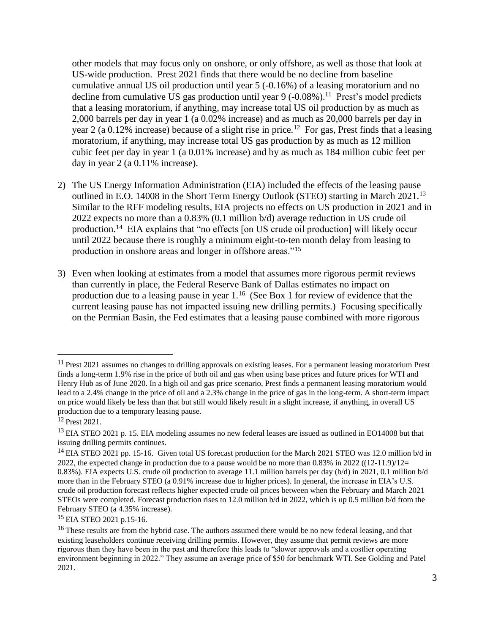other models that may focus only on onshore, or only offshore, as well as those that look at US-wide production. Prest 2021 finds that there would be no decline from baseline cumulative annual US oil production until year 5 (-0.16%) of a leasing moratorium and no decline from cumulative US gas production until year 9 (-0.08%).<sup>11</sup> Prest's model predicts that a leasing moratorium, if anything, may increase total US oil production by as much as 2,000 barrels per day in year 1 (a 0.02% increase) and as much as 20,000 barrels per day in year 2 (a 0.12% increase) because of a slight rise in price.<sup>12</sup> For gas, Prest finds that a leasing moratorium, if anything, may increase total US gas production by as much as 12 million cubic feet per day in year 1 (a 0.01% increase) and by as much as 184 million cubic feet per day in year 2 (a 0.11% increase).

- 2) The US Energy Information Administration (EIA) included the effects of the leasing pause outlined in E.O. 14008 in the Short Term Energy Outlook (STEO) starting in March 2021.<sup>13</sup> Similar to the RFF modeling results, EIA projects no effects on US production in 2021 and in 2022 expects no more than a 0.83% (0.1 million b/d) average reduction in US crude oil production.<sup>14</sup> EIA explains that "no effects [on US crude oil production] will likely occur until 2022 because there is roughly a minimum eight-to-ten month delay from leasing to production in onshore areas and longer in offshore areas."<sup>15</sup>
- 3) Even when looking at estimates from a model that assumes more rigorous permit reviews than currently in place, the Federal Reserve Bank of Dallas estimates no impact on production due to a leasing pause in year 1.<sup>16</sup> (See Box 1 for review of evidence that the current leasing pause has not impacted issuing new drilling permits.) Focusing specifically on the Permian Basin, the Fed estimates that a leasing pause combined with more rigorous

<sup>15</sup> EIA STEO 2021 p.15-16.

<sup>&</sup>lt;sup>11</sup> Prest 2021 assumes no changes to drilling approvals on existing leases. For a permanent leasing moratorium Prest finds a long-term 1.9% rise in the price of both oil and gas when using base prices and future prices for WTI and Henry Hub as of June 2020. In a high oil and gas price scenario, Prest finds a permanent leasing moratorium would lead to a 2.4% change in the price of oil and a 2.3% change in the price of gas in the long-term. A short-term impact on price would likely be less than that but still would likely result in a slight increase, if anything, in overall US production due to a temporary leasing pause.

<sup>&</sup>lt;sup>12</sup> Prest 2021.

<sup>&</sup>lt;sup>13</sup> EIA STEO 2021 p. 15. EIA modeling assumes no new federal leases are issued as outlined in EO14008 but that issuing drilling permits continues.

<sup>&</sup>lt;sup>14</sup> EIA STEO 2021 pp. 15-16. Given total US forecast production for the March 2021 STEO was 12.0 million b/d in 2022, the expected change in production due to a pause would be no more than  $0.83\%$  in 2022 ((12-11.9)/12= 0.83%). EIA expects U.S. crude oil production to average 11.1 million barrels per day (b/d) in 2021, 0.1 million b/d more than in the February STEO (a 0.91% increase due to higher prices). In general, the increase in EIA's U.S. crude oil production forecast reflects higher expected crude oil prices between when the February and March 2021 STEOs were completed. Forecast production rises to 12.0 million b/d in 2022, which is up 0.5 million b/d from the February STEO (a 4.35% increase).

<sup>&</sup>lt;sup>16</sup> These results are from the hybrid case. The authors assumed there would be no new federal leasing, and that existing leaseholders continue receiving drilling permits. However, they assume that permit reviews are more rigorous than they have been in the past and therefore this leads to "slower approvals and a costlier operating environment beginning in 2022." They assume an average price of \$50 for benchmark WTI. See Golding and Patel 2021.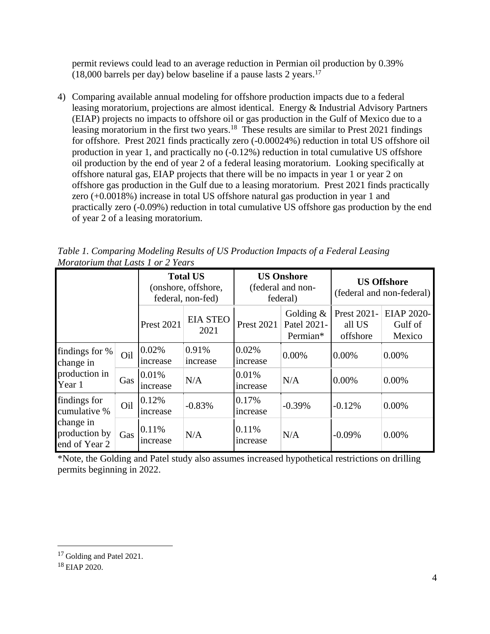permit reviews could lead to an average reduction in Permian oil production by 0.39%  $(18,000$  barrels per day) below baseline if a pause lasts 2 years.<sup>17</sup>

4) Comparing available annual modeling for offshore production impacts due to a federal leasing moratorium, projections are almost identical. Energy & Industrial Advisory Partners (EIAP) projects no impacts to offshore oil or gas production in the Gulf of Mexico due to a leasing moratorium in the first two years.<sup>18</sup> These results are similar to Prest 2021 findings for offshore. Prest 2021 finds practically zero (-0.00024%) reduction in total US offshore oil production in year 1, and practically no (-0.12%) reduction in total cumulative US offshore oil production by the end of year 2 of a federal leasing moratorium. Looking specifically at offshore natural gas, EIAP projects that there will be no impacts in year 1 or year 2 on offshore gas production in the Gulf due to a leasing moratorium. Prest 2021 finds practically zero (+0.0018%) increase in total US offshore natural gas production in year 1 and practically zero (-0.09%) reduction in total cumulative US offshore gas production by the end of year 2 of a leasing moratorium.

*Table 1. Comparing Modeling Results of US Production Impacts of a Federal Leasing Moratorium that Lasts 1 or 2 Years*

|                                                                             |     | <b>Total US</b><br>(onshore, offshore,<br>federal, non-fed) |                         | <b>US Onshore</b><br>(federal and non-<br>federal) |                                         | <b>US Offshore</b><br>(federal and non-federal) |                                        |
|-----------------------------------------------------------------------------|-----|-------------------------------------------------------------|-------------------------|----------------------------------------------------|-----------------------------------------|-------------------------------------------------|----------------------------------------|
|                                                                             |     | <b>Prest 2021</b>                                           | <b>EIA STEO</b><br>2021 | <b>Prest 2021</b>                                  | Golding $\&$<br>Patel 2021-<br>Permian* | Prest 2021-<br>all US<br>offshore               | <b>EIAP 2020-</b><br>Gulf of<br>Mexico |
| findings for %<br>change in<br>production in<br>Year 1                      | Oil | 0.02%<br>increase                                           | 0.91%<br>increase       | 0.02%<br>increase                                  | $0.00\%$                                | $0.00\%$                                        | $0.00\%$                               |
|                                                                             | Gas | 0.01%<br>increase                                           | N/A                     | 0.01%<br>increase                                  | N/A                                     | 0.00%                                           | 0.00%                                  |
| findings for<br>cumulative %<br>change in<br>production by<br>end of Year 2 | Oil | 0.12%<br>increase                                           | $-0.83%$                | 0.17%<br>increase                                  | $-0.39%$                                | $-0.12%$                                        | 0.00%                                  |
|                                                                             | Gas | 0.11%<br>increase                                           | N/A                     | 0.11%<br><i>ncrease</i>                            | N/A                                     | $-0.09\%$                                       | 0.00%                                  |

\*Note, the Golding and Patel study also assumes increased hypothetical restrictions on drilling permits beginning in 2022.

<sup>&</sup>lt;sup>17</sup> Golding and Patel 2021.

<sup>18</sup> EIAP 2020.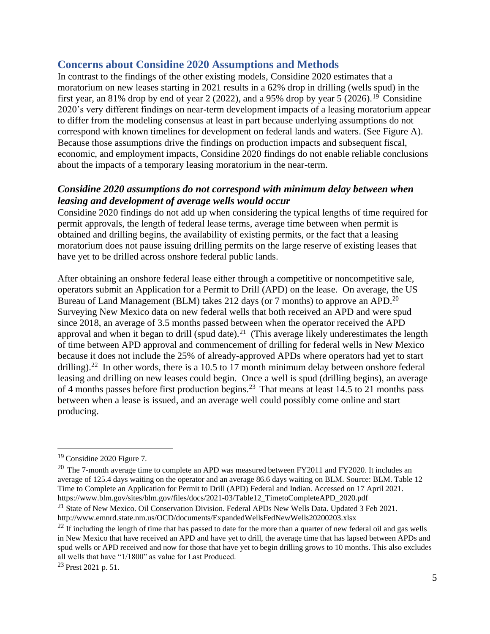## **Concerns about Considine 2020 Assumptions and Methods**

In contrast to the findings of the other existing models, Considine 2020 estimates that a moratorium on new leases starting in 2021 results in a 62% drop in drilling (wells spud) in the first year, an 81% drop by end of year 2 (2022), and a 95% drop by year 5 (2026).<sup>19</sup> Considine 2020's very different findings on near-term development impacts of a leasing moratorium appear to differ from the modeling consensus at least in part because underlying assumptions do not correspond with known timelines for development on federal lands and waters. (See Figure A). Because those assumptions drive the findings on production impacts and subsequent fiscal, economic, and employment impacts, Considine 2020 findings do not enable reliable conclusions about the impacts of a temporary leasing moratorium in the near-term.

## *Considine 2020 assumptions do not correspond with minimum delay between when leasing and development of average wells would occur*

Considine 2020 findings do not add up when considering the typical lengths of time required for permit approvals, the length of federal lease terms, average time between when permit is obtained and drilling begins, the availability of existing permits, or the fact that a leasing moratorium does not pause issuing drilling permits on the large reserve of existing leases that have yet to be drilled across onshore federal public lands.

After obtaining an onshore federal lease either through a competitive or noncompetitive sale, operators submit an Application for a Permit to Drill (APD) on the lease. On average, the US Bureau of Land Management (BLM) takes 212 days (or 7 months) to approve an APD.<sup>20</sup> Surveying New Mexico data on new federal wells that both received an APD and were spud since 2018, an average of 3.5 months passed between when the operator received the APD approval and when it began to drill (spud date).<sup>21</sup> (This average likely underestimates the length of time between APD approval and commencement of drilling for federal wells in New Mexico because it does not include the 25% of already-approved APDs where operators had yet to start drilling).<sup>22</sup> In other words, there is a 10.5 to 17 month minimum delay between onshore federal leasing and drilling on new leases could begin. Once a well is spud (drilling begins), an average of 4 months passes before first production begins.<sup>23</sup> That means at least 14.5 to 21 months pass between when a lease is issued, and an average well could possibly come online and start producing.

<sup>19</sup> Considine 2020 Figure 7.

<sup>&</sup>lt;sup>20</sup> The 7-month average time to complete an APD was measured between FY2011 and FY2020. It includes an average of 125.4 days waiting on the operator and an average 86.6 days waiting on BLM. Source: BLM. Table 12 Time to Complete an Application for Permit to Drill (APD) Federal and Indian. Accessed on 17 April 2021. [https://www.blm.gov/sites/blm.gov/files/docs/2021-03/Table12\\_TimetoCompleteAPD\\_2020.pdf](https://www.blm.gov/sites/blm.gov/files/docs/2021-03/Table12_TimetoCompleteAPD_2020.pdf)

<sup>&</sup>lt;sup>21</sup> State of New Mexico. Oil Conservation Division. Federal APDs New Wells Data. Updated 3 Feb 2021. <http://www.emnrd.state.nm.us/OCD/documents/ExpandedWellsFedNewWells20200203.xlsx>

 $^{22}$  If including the length of time that has passed to date for the more than a quarter of new federal oil and gas wells in New Mexico that have received an APD and have yet to drill, the average time that has lapsed between APDs and spud wells or APD received and now for those that have yet to begin drilling grows to 10 months. This also excludes all wells that have "1/1800" as value for Last Produced.

 $^{23}$  Prest 2021 p. 51.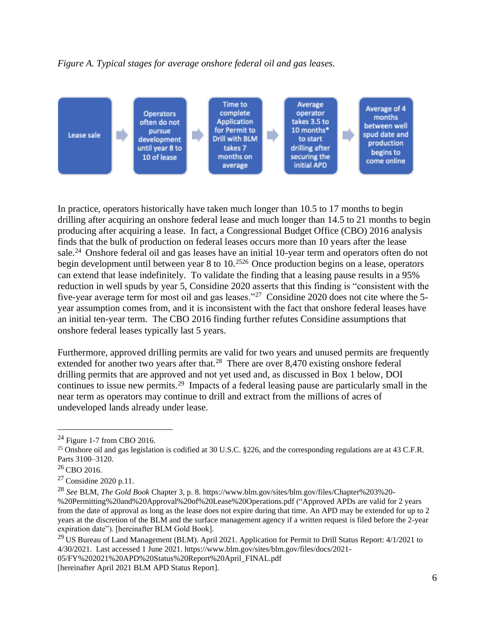*Figure A. Typical stages for average onshore federal oil and gas leases.* 



In practice, operators historically have taken much longer than 10.5 to 17 months to begin drilling after acquiring an onshore federal lease and much longer than 14.5 to 21 months to begin producing after acquiring a lease. In fact, a Congressional Budget Office (CBO) 2016 analysis finds that the bulk of production on federal leases occurs more than 10 years after the lease sale.<sup>24</sup> Onshore federal oil and gas leases have an initial 10-year term and operators often do not begin development until between year 8 to 10.<sup>2526</sup> Once production begins on a lease, operators can extend that lease indefinitely. To validate the finding that a leasing pause results in a 95% reduction in well spuds by year 5, Considine 2020 asserts that this finding is "consistent with the five-year average term for most oil and gas leases."<sup>27</sup> Considine 2020 does not cite where the 5year assumption comes from, and it is inconsistent with the fact that onshore federal leases have an initial ten-year term. The CBO 2016 finding further refutes Considine assumptions that onshore federal leases typically last 5 years.

Furthermore, approved drilling permits are valid for two years and unused permits are frequently extended for another two years after that.<sup>28</sup> There are over  $8,470$  existing onshore federal drilling permits that are approved and not yet used and, as discussed in Box 1 below, DOI continues to issue new permits.<sup>29</sup> Impacts of a federal leasing pause are particularly small in the near term as operators may continue to drill and extract from the millions of acres of undeveloped lands already under lease.

[05/FY%202021%20APD%20Status%20Report%20April\\_FINAL.pdf](https://www.blm.gov/sites/blm.gov/files/docs/2021-05/FY%202021%20APD%20Status%20Report%20April_FINAL.pdf)

 $^{24}$  Figure 1-7 from CBO 2016.

<sup>&</sup>lt;sup>25</sup> Onshore oil and gas legislation is codified at 30 U.S.C. §226, and the corresponding regulations are at 43 C.F.R. Parts 3100–3120.

 $26$  CBO 2016.

<sup>27</sup> Considine 2020 p.11.

<sup>28</sup> *See* BLM, *The Gold Book* Chapter 3, p. 8[. https://www.blm.gov/sites/blm.gov/files/Chapter%203%20-](https://www.blm.gov/sites/blm.gov/files/Chapter%203%20-%20Permitting%20and%20Approval%20of%20Lease%20Operations.pdf) [%20Permitting%20and%20Approval%20of%20Lease%20Operations.pdf](https://www.blm.gov/sites/blm.gov/files/Chapter%203%20-%20Permitting%20and%20Approval%20of%20Lease%20Operations.pdf) ("Approved APDs are valid for 2 years from the date of approval as long as the lease does not expire during that time. An APD may be extended for up to 2 years at the discretion of the BLM and the surface management agency if a written request is filed before the 2-year expiration date"). [hereinafter BLM Gold Book].

<sup>&</sup>lt;sup>29</sup> US Bureau of Land Management (BLM). April 2021. Application for Permit to Drill Status Report: 4/1/2021 to 4/30/2021. Last accessed 1 June 2021[. https://www.blm.gov/sites/blm.gov/files/docs/2021-](https://www.blm.gov/sites/blm.gov/files/docs/2021-05/FY%202021%20APD%20Status%20Report%20April_FINAL.pdf)

<sup>[</sup>hereinafter April 2021 BLM APD Status Report].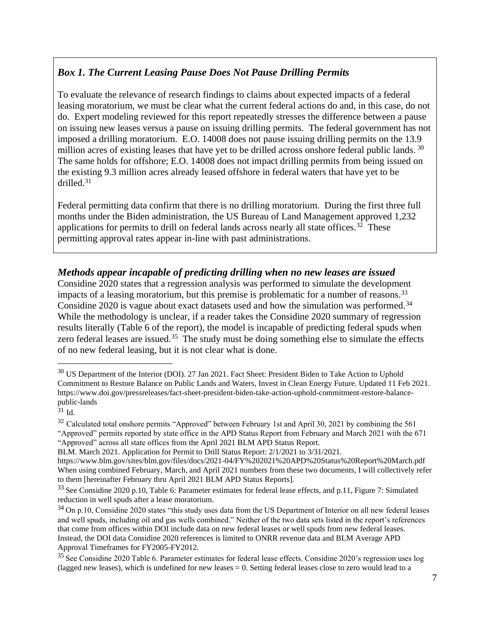## *Box 1. The Current Leasing Pause Does Not Pause Drilling Permits*

To evaluate the relevance of research findings to claims about expected impacts of a federal leasing moratorium, we must be clear what the current federal actions do and, in this case, do not do. Expert modeling reviewed for this report repeatedly stresses the difference between a pause on issuing new leases versus a pause on issuing drilling permits. The federal government has not imposed a drilling moratorium. E.O. 14008 does not pause issuing drilling permits on the 13.9 million acres of existing leases that have yet to be drilled across onshore federal public lands. 30 The same holds for offshore; E.O. 14008 does not impact drilling permits from being issued on the existing 9.3 million acres already leased offshore in federal waters that have yet to be drilled.<sup>31</sup>

Federal permitting data confirm that there is no drilling moratorium. During the first three full months under the Biden administration, the US Bureau of Land Management approved 1,232 applications for permits to drill on federal lands across nearly all state offices.<sup>32</sup> These permitting approval rates appear in-line with past administrations.

## *Methods appear incapable of predicting drilling when no new leases are issued*

Considine 2020 states that a regression analysis was performed to simulate the development impacts of a leasing moratorium, but this premise is problematic for a number of reasons.<sup>33</sup> Considine 2020 is vague about exact datasets used and how the simulation was performed.<sup>34</sup> While the methodology is unclear, if a reader takes the Considine 2020 summary of regression results literally (Table 6 of the report), the model is incapable of predicting federal spuds when zero federal leases are issued.<sup>35</sup> The study must be doing something else to simulate the effects of no new federal leasing, but it is not clear what is done.

<sup>&</sup>lt;sup>30</sup> US Department of the Interior (DOI). 27 Jan 2021. Fact Sheet: President Biden to Take Action to Uphold Commitment to Restore Balance on Public Lands and Waters, Invest in Clean Energy Future. Updated 11 Feb 2021. [https://www.doi.gov/pressreleases/fact-sheet-president-biden-take-action-uphold-commitment-restore-balance](https://www.doi.gov/pressreleases/fact-sheet-president-biden-take-action-uphold-commitment-restore-balance-public-lands)[public-lands](https://www.doi.gov/pressreleases/fact-sheet-president-biden-take-action-uphold-commitment-restore-balance-public-lands)

 $31$  Id.

 $32$  Calculated total onshore permits "Approved" between February 1st and April 30, 2021 by combining the 561 "Approved" permits reported by state office in the APD Status Report from February and March 2021 with the 671 "Approved" across all state offices from the April 2021 BLM APD Status Report.

BLM. March 2021. Application for Permit to Drill Status Report: 2/1/2021 to 3/31/2021[.](https://www.blm.gov/sites/blm.gov/files/docs/2021-04/FY%202021%20APD%20Status%20Report%20March.pdf)

<https://www.blm.gov/sites/blm.gov/files/docs/2021-04/FY%202021%20APD%20Status%20Report%20March.pdf> When using combined February, March, and April 2021 numbers from these two documents, I will collectively refer to them [hereinafter February thru April 2021 BLM APD Status Reports].

<sup>&</sup>lt;sup>33</sup> See Considine 2020 p.10, Table 6: Parameter estimates for federal lease effects, and p.11, Figure 7: Simulated reduction in well spuds after a lease moratorium.

<sup>&</sup>lt;sup>34</sup> On p.10, Considine 2020 states "this study uses data from the US Department of Interior on all new federal leases and well spuds, including oil and gas wells combined." Neither of the two data sets listed in the report's references that come from offices within DOI include data on new federal leases or well spuds from new federal leases. Instead, the DOI data Considine 2020 references is limited to ONRR revenue data and BLM Average APD Approval Timeframes for FY2005-FY2012.

<sup>&</sup>lt;sup>35</sup>See Considine 2020 Table 6. Parameter estimates for federal lease effects. Considine 2020's regression uses log (lagged new leases), which is undefined for new leases = 0. Setting federal leases close to zero would lead to a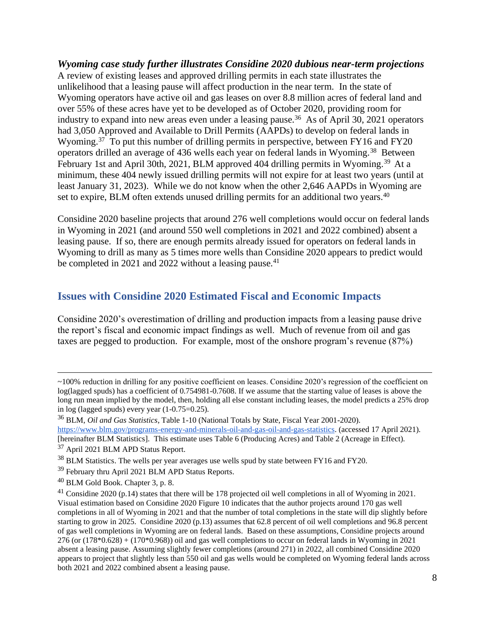*Wyoming case study further illustrates Considine 2020 dubious near-term projections*  A review of existing leases and approved drilling permits in each state illustrates the unlikelihood that a leasing pause will affect production in the near term. In the state of Wyoming operators have active oil and gas leases on over 8.8 million acres of federal land and over 55% of these acres have yet to be developed as of October 2020, providing room for industry to expand into new areas even under a leasing pause.<sup>36</sup> As of April 30, 2021 operators had 3,050 Approved and Available to Drill Permits (AAPDs) to develop on federal lands in Wyoming.<sup>37</sup> To put this number of drilling permits in perspective, between FY16 and FY20 operators drilled an average of 436 wells each year on federal lands in Wyoming.<sup>38</sup> Between February 1st and April 30th, 2021, BLM approved 404 drilling permits in Wyoming.<sup>39</sup> At a minimum, these 404 newly issued drilling permits will not expire for at least two years (until at least January 31, 2023). While we do not know when the other 2,646 AAPDs in Wyoming are set to expire, BLM often extends unused drilling permits for an additional two years.<sup>40</sup>

Considine 2020 baseline projects that around 276 well completions would occur on federal lands in Wyoming in 2021 (and around 550 well completions in 2021 and 2022 combined) absent a leasing pause. If so, there are enough permits already issued for operators on federal lands in Wyoming to drill as many as 5 times more wells than Considine 2020 appears to predict would be completed in 2021 and 2022 without a leasing pause.<sup>41</sup>

## **Issues with Considine 2020 Estimated Fiscal and Economic Impacts**

Considine 2020's overestimation of drilling and production impacts from a leasing pause drive the report's fiscal and economic impact findings as well. Much of revenue from oil and gas taxes are pegged to production. For example, most of the onshore program's revenue (87%)

<sup>~100%</sup> reduction in drilling for any positive coefficient on leases. Considine 2020's regression of the coefficient on log(lagged spuds) has a coefficient of 0.754981-0.7608. If we assume that the starting value of leases is above the long run mean implied by the model, then, holding all else constant including leases, the model predicts a 25% drop in log (lagged spuds) every year (1-0.75=0.25).

<sup>36</sup> BLM, *Oil and Gas Statistics*, Table 1-10 (National Totals by State, Fiscal Year 2001-2020).

[https://www.blm.gov/programs-energy-and-minerals-oil-and-gas-oil-and-gas-statistics.](https://www.blm.gov/programs-energy-and-minerals-oil-and-gas-oil-and-gas-statistics) (accessed 17 April 2021).

<sup>[</sup>hereinafter BLM Statistics]. This estimate uses Table 6 (Producing Acres) and Table 2 (Acreage in Effect). <sup>37</sup> April 2021 BLM APD Status Report.

<sup>&</sup>lt;sup>38</sup> BLM Statistics. The wells per year averages use wells spud by state between FY16 and FY20.

<sup>39</sup> February thru April 2021 BLM APD Status Reports.

<sup>40</sup> BLM Gold Book. Chapter 3, p. 8.

<sup>41</sup> Considine 2020 (p.14) states that there will be 178 projected oil well completions in all of Wyoming in 2021. Visual estimation based on Considine 2020 Figure 10 indicates that the author projects around 170 gas well completions in all of Wyoming in 2021 and that the number of total completions in the state will dip slightly before starting to grow in 2025. Considine 2020 (p.13) assumes that 62.8 percent of oil well completions and 96.8 percent of gas well completions in Wyoming are on federal lands. Based on these assumptions, Considine projects around  $276$  (or  $(178*0.628) + (170*0.968)$ ) oil and gas well completions to occur on federal lands in Wyoming in 2021 absent a leasing pause. Assuming slightly fewer completions (around 271) in 2022, all combined Considine 2020 appears to project that slightly less than 550 oil and gas wells would be completed on Wyoming federal lands across both 2021 and 2022 combined absent a leasing pause.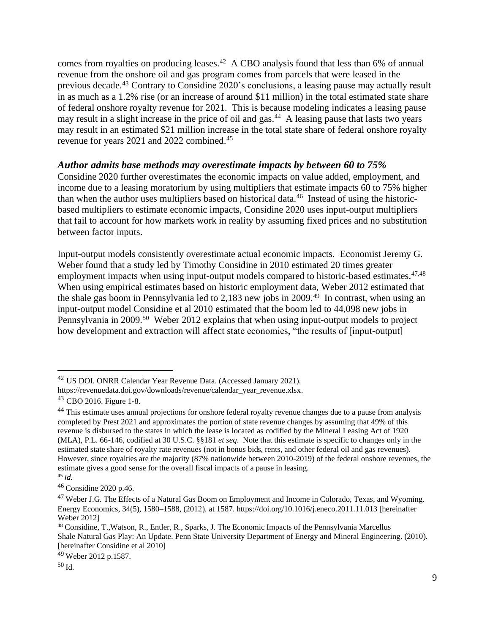comes from royalties on producing leases.<sup>42</sup> A CBO analysis found that less than 6% of annual revenue from the onshore oil and gas program comes from parcels that were leased in the previous decade.<sup>43</sup> Contrary to Considine 2020's conclusions, a leasing pause may actually result in as much as a 1.2% rise (or an increase of around \$11 million) in the total estimated state share of federal onshore royalty revenue for 2021. This is because modeling indicates a leasing pause may result in a slight increase in the price of oil and gas.<sup>44</sup> A leasing pause that lasts two years may result in an estimated \$21 million increase in the total state share of federal onshore royalty revenue for years 2021 and 2022 combined.<sup>45</sup>

#### *Author admits base methods may overestimate impacts by between 60 to 75%*

Considine 2020 further overestimates the economic impacts on value added, employment, and income due to a leasing moratorium by using multipliers that estimate impacts 60 to 75% higher than when the author uses multipliers based on historical data.<sup>46</sup> Instead of using the historicbased multipliers to estimate economic impacts, Considine 2020 uses input-output multipliers that fail to account for how markets work in reality by assuming fixed prices and no substitution between factor inputs.

Input-output models consistently overestimate actual economic impacts. Economist Jeremy G. Weber found that a study led by Timothy Considine in 2010 estimated 20 times greater employment impacts when using input-output models compared to historic-based estimates.<sup>47,48</sup> When using empirical estimates based on historic employment data, Weber 2012 estimated that the shale gas boom in Pennsylvania led to 2,183 new jobs in 2009.<sup>49</sup> In contrast, when using an input-output model Considine et al 2010 estimated that the boom led to 44,098 new jobs in Pennsylvania in 2009.<sup>50</sup> Weber 2012 explains that when using input-output models to project how development and extraction will affect state economies, "the results of [input-output]

<sup>42</sup> US DOI. ONRR Calendar Year Revenue Data. (Accessed January 2021).

[https://revenuedata.doi.gov/downloads/revenue/calendar\\_year\\_revenue.xlsx.](https://revenuedata.doi.gov/downloads/revenue/calendar_year_revenue.xlsx)

<sup>43</sup> CBO 2016. Figure 1-8.

<sup>&</sup>lt;sup>44</sup> This estimate uses annual projections for onshore federal royalty revenue changes due to a pause from analysis completed by Prest 2021 and approximates the portion of state revenue changes by assuming that 49% of this revenue is disbursed to the states in which the lease is located as codified by the Mineral Leasing Act of 1920 (MLA), P.L. 66-146, codified at 30 U.S.C. §§181 *et seq*. Note that this estimate is specific to changes only in the estimated state share of royalty rate revenues (not in bonus bids, rents, and other federal oil and gas revenues). However, since royalties are the majority (87% nationwide between 2010-2019) of the federal onshore revenues, the estimate gives a good sense for the overall fiscal impacts of a pause in leasing. <sup>45</sup> *Id.*

<sup>46</sup> Considine 2020 p.46.

<sup>&</sup>lt;sup>47</sup> Weber J.G. The Effects of a Natural Gas Boom on Employment and Income in Colorado, Texas, and Wyoming. Energy Economics, 34(5), 1580–1588, (2012). at 1587.<https://doi.org/10.1016/j.eneco.2011.11.013> [hereinafter Weber 2012]

<sup>48</sup> Considine, T.,Watson, R., Entler, R., Sparks, J. The Economic Impacts of the Pennsylvania Marcellus Shale Natural Gas Play: An Update. Penn State University Department of Energy and Mineral Engineering. (2010). [hereinafter Considine et al 2010]

<sup>49</sup> Weber 2012 p.1587.

<sup>50</sup> Id.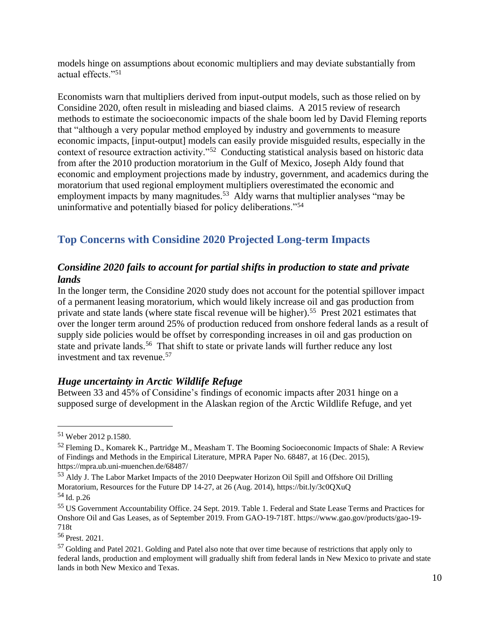models hinge on assumptions about economic multipliers and may deviate substantially from actual effects."<sup>51</sup>

Economists warn that multipliers derived from input-output models, such as those relied on by Considine 2020, often result in misleading and biased claims. A 2015 review of research methods to estimate the socioeconomic impacts of the shale boom led by David Fleming reports that "although a very popular method employed by industry and governments to measure economic impacts, [input-output] models can easily provide misguided results, especially in the context of resource extraction activity."<sup>52</sup> Conducting statistical analysis based on historic data from after the 2010 production moratorium in the Gulf of Mexico, Joseph Aldy found that economic and employment projections made by industry, government, and academics during the moratorium that used regional employment multipliers overestimated the economic and employment impacts by many magnitudes.<sup>53</sup> Aldy warns that multiplier analyses "may be uninformative and potentially biased for policy deliberations."<sup>54</sup>

# **Top Concerns with Considine 2020 Projected Long-term Impacts**

## *Considine 2020 fails to account for partial shifts in production to state and private lands*

In the longer term, the Considine 2020 study does not account for the potential spillover impact of a permanent leasing moratorium, which would likely increase oil and gas production from private and state lands (where state fiscal revenue will be higher).<sup>55</sup> Prest 2021 estimates that over the longer term around 25% of production reduced from onshore federal lands as a result of supply side policies would be offset by corresponding increases in oil and gas production on state and private lands.<sup>56</sup> That shift to state or private lands will further reduce any lost investment and tax revenue.<sup>57</sup>

## *Huge uncertainty in Arctic Wildlife Refuge*

Between 33 and 45% of Considine's findings of economic impacts after 2031 hinge on a supposed surge of development in the Alaskan region of the Arctic Wildlife Refuge, and yet

<sup>51</sup> Weber 2012 p.1580.

<sup>&</sup>lt;sup>52</sup> Fleming D., Komarek K., Partridge M., Measham T. The Booming Socioeconomic Impacts of Shale: A Review of Findings and Methods in the Empirical Literature, MPRA Paper No. 68487, at 16 (Dec. 2015), <https://mpra.ub.uni-muenchen.de/68487/>

<sup>53</sup> Aldy J. The Labor Market Impacts of the 2010 Deepwater Horizon Oil Spill and Offshore Oil Drilling Moratorium, Resources for the Future DP 14-27, at 26 (Aug. 2014),<https://bit.ly/3c0QXuQ>

 $54$  Id. p.26

<sup>55</sup> US Government Accountability Office. 24 Sept. 2019. Table 1. Federal and State Lease Terms and Practices for Onshore Oil and Gas Leases, as of September 2019. From GAO-19-718T[. https://www.gao.gov/products/gao-19-](https://www.gao.gov/products/gao-19-718t) [718t](https://www.gao.gov/products/gao-19-718t)

<sup>&</sup>lt;sup>56</sup> Prest. 2021.

<sup>&</sup>lt;sup>57</sup> Golding and Patel 2021. Golding and Patel also note that over time because of restrictions that apply only to federal lands, production and employment will gradually shift from federal lands in New Mexico to private and state lands in both New Mexico and Texas.